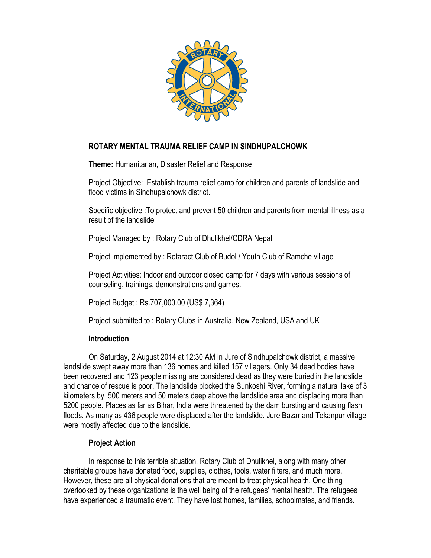

# **ROTARY MENTAL TRAUMA RELIEF CAMP IN SINDHUPALCHOWK**

**Theme:** Humanitarian, Disaster Relief and Response

Project Objective: Establish trauma relief camp for children and parents of landslide and flood victims in Sindhupalchowk district.

Specific objective :To protect and prevent 50 children and parents from mental illness as a result of the landslide

Project Managed by : Rotary Club of Dhulikhel/CDRA Nepal

Project implemented by : Rotaract Club of Budol / Youth Club of Ramche village

Project Activities: Indoor and outdoor closed camp for 7 days with various sessions of counseling, trainings, demonstrations and games.

Project Budget : Rs.707,000.00 (US\$ 7,364)

Project submitted to : Rotary Clubs in Australia, New Zealand, USA and UK

### **Introduction**

On Saturday, 2 August 2014 at 12:30 AM in Jure of Sindhupalchowk district, a massive landslide swept away more than 136 homes and killed 157 villagers. Only 34 dead bodies have been recovered and 123 people missing are considered dead as they were buried in the landslide and chance of rescue is poor. The landslide blocked the Sunkoshi River, forming a natural lake of 3 kilometers by 500 meters and 50 meters deep above the landslide area and displacing more than 5200 people. Places as far as Bihar, India were threatened by the dam bursting and causing flash floods. As many as 436 people were displaced after the landslide. Jure Bazar and Tekanpur village were mostly affected due to the landslide.

## **Project Action**

In response to this terrible situation, Rotary Club of Dhulikhel, along with many other charitable groups have donated food, supplies, clothes, tools, water filters, and much more. However, these are all physical donations that are meant to treat physical health. One thing overlooked by these organizations is the well being of the refugees' mental health. The refugees have experienced a traumatic event. They have lost homes, families, schoolmates, and friends.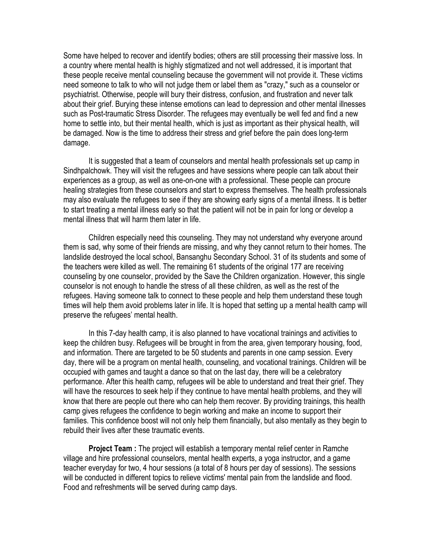Some have helped to recover and identify bodies; others are still processing their massive loss. In a country where mental health is highly stigmatized and not well addressed, it is important that these people receive mental counseling because the government will not provide it. These victims need someone to talk to who will not judge them or label them as "crazy," such as a counselor or psychiatrist. Otherwise, people will bury their distress, confusion, and frustration and never talk about their grief. Burying these intense emotions can lead to depression and other mental illnesses such as Post-traumatic Stress Disorder. The refugees may eventually be well fed and find a new home to settle into, but their mental health, which is just as important as their physical health, will be damaged. Now is the time to address their stress and grief before the pain does long-term damage.

It is suggested that a team of counselors and mental health professionals set up camp in Sindhpalchowk. They will visit the refugees and have sessions where people can talk about their experiences as a group, as well as one-on-one with a professional. These people can procure healing strategies from these counselors and start to express themselves. The health professionals may also evaluate the refugees to see if they are showing early signs of a mental illness. It is better to start treating a mental illness early so that the patient will not be in pain for long or develop a mental illness that will harm them later in life.

Children especially need this counseling. They may not understand why everyone around them is sad, why some of their friends are missing, and why they cannot return to their homes. The landslide destroyed the local school, Bansanghu Secondary School. 31 of its students and some of the teachers were killed as well. The remaining 61 students of the original 177 are receiving counseling by one counselor, provided by the Save the Children organization. However, this single counselor is not enough to handle the stress of all these children, as well as the rest of the refugees. Having someone talk to connect to these people and help them understand these tough times will help them avoid problems later in life. It is hoped that setting up a mental health camp will preserve the refugees' mental health.

In this 7-day health camp, it is also planned to have vocational trainings and activities to keep the children busy. Refugees will be brought in from the area, given temporary housing, food, and information. There are targeted to be 50 students and parents in one camp session. Every day, there will be a program on mental health, counseling, and vocational trainings. Children will be occupied with games and taught a dance so that on the last day, there will be a celebratory performance. After this health camp, refugees will be able to understand and treat their grief. They will have the resources to seek help if they continue to have mental health problems, and they will know that there are people out there who can help them recover. By providing trainings, this health camp gives refugees the confidence to begin working and make an income to support their families. This confidence boost will not only help them financially, but also mentally as they begin to rebuild their lives after these traumatic events.

**Project Team :** The project will establish a temporary mental relief center in Ramche village and hire professional counselors, mental health experts, a yoga instructor, and a game teacher everyday for two, 4 hour sessions (a total of 8 hours per day of sessions). The sessions will be conducted in different topics to relieve victims' mental pain from the landslide and flood. Food and refreshments will be served during camp days.